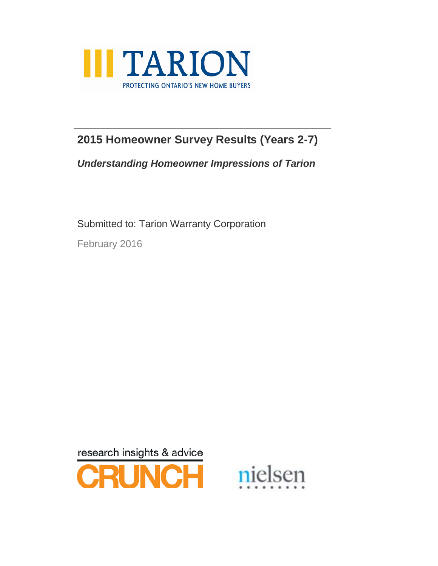

### **2015 Homeowner Survey Results (Years 2-7)**

*Understanding Homeowner Impressions of Tarion*

Submitted to: Tarion Warranty Corporation

February 2016



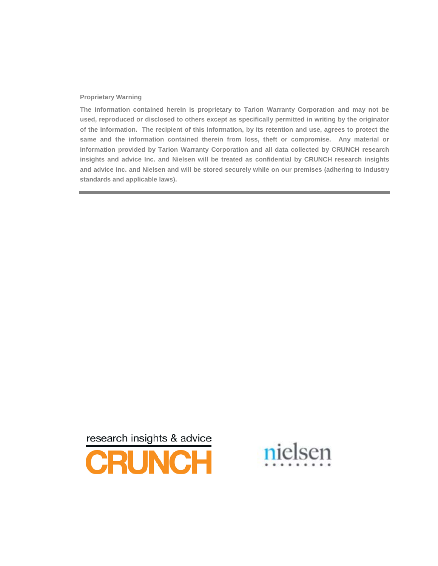#### **Proprietary Warning**

**The information contained herein is proprietary to Tarion Warranty Corporation and may not be used, reproduced or disclosed to others except as specifically permitted in writing by the originator of the information. The recipient of this information, by its retention and use, agrees to protect the same and the information contained therein from loss, theft or compromise. Any material or information provided by Tarion Warranty Corporation and all data collected by CRUNCH research insights and advice Inc. and Nielsen will be treated as confidential by CRUNCH research insights and advice Inc. and Nielsen and will be stored securely while on our premises (adhering to industry standards and applicable laws).**





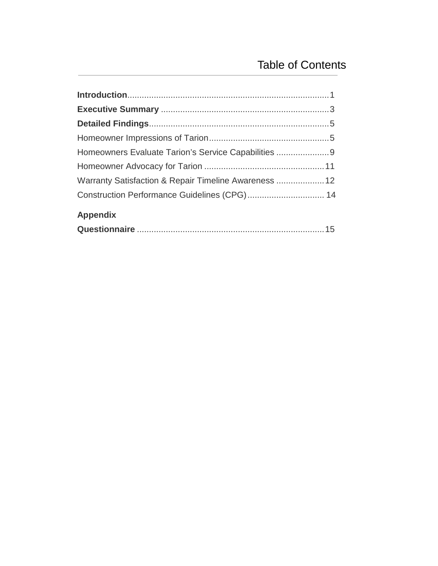| Homeowners Evaluate Tarion's Service Capabilities 9   |  |
|-------------------------------------------------------|--|
|                                                       |  |
| Warranty Satisfaction & Repair Timeline Awareness  12 |  |
| Construction Performance Guidelines (CPG) 14          |  |
| <b>Appendix</b>                                       |  |
|                                                       |  |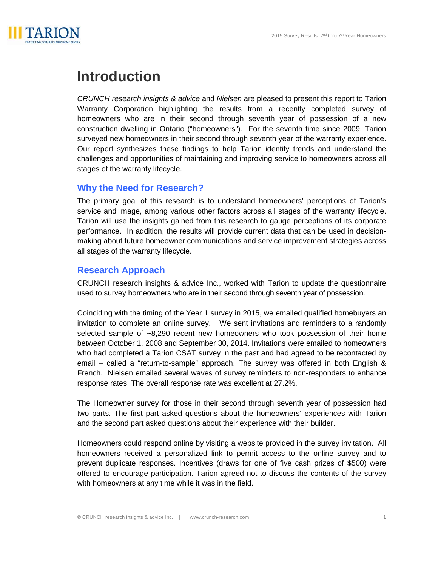

# **Introduction**

*CRUNCH research insights & advice* and *Nielsen* are pleased to present this report to Tarion Warranty Corporation highlighting the results from a recently completed survey of homeowners who are in their second through seventh year of possession of a new construction dwelling in Ontario ("homeowners"). For the seventh time since 2009, Tarion surveyed new homeowners in their second through seventh year of the warranty experience. Our report synthesizes these findings to help Tarion identify trends and understand the challenges and opportunities of maintaining and improving service to homeowners across all stages of the warranty lifecycle.

#### **Why the Need for Research?**

The primary goal of this research is to understand homeowners' perceptions of Tarion's service and image, among various other factors across all stages of the warranty lifecycle. Tarion will use the insights gained from this research to gauge perceptions of its corporate performance. In addition, the results will provide current data that can be used in decisionmaking about future homeowner communications and service improvement strategies across all stages of the warranty lifecycle.

#### **Research Approach**

CRUNCH research insights & advice Inc., worked with Tarion to update the questionnaire used to survey homeowners who are in their second through seventh year of possession.

Coinciding with the timing of the Year 1 survey in 2015, we emailed qualified homebuyers an invitation to complete an online survey. We sent invitations and reminders to a randomly selected sample of ~8,290 recent new homeowners who took possession of their home between October 1, 2008 and September 30, 2014. Invitations were emailed to homeowners who had completed a Tarion CSAT survey in the past and had agreed to be recontacted by email – called a "return-to-sample" approach. The survey was offered in both English & French. Nielsen emailed several waves of survey reminders to non-responders to enhance response rates. The overall response rate was excellent at 27.2%.

The Homeowner survey for those in their second through seventh year of possession had two parts. The first part asked questions about the homeowners' experiences with Tarion and the second part asked questions about their experience with their builder.

Homeowners could respond online by visiting a website provided in the survey invitation. All homeowners received a personalized link to permit access to the online survey and to prevent duplicate responses. Incentives (draws for one of five cash prizes of \$500) were offered to encourage participation. Tarion agreed not to discuss the contents of the survey with homeowners at any time while it was in the field.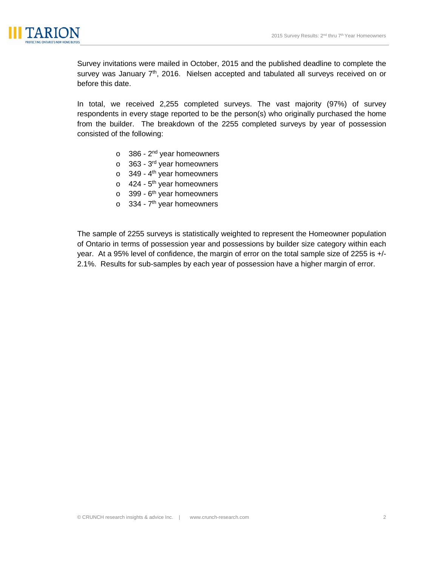

Survey invitations were mailed in October, 2015 and the published deadline to complete the survey was January 7<sup>th</sup>, 2016. Nielsen accepted and tabulated all surveys received on or before this date.

In total, we received 2,255 completed surveys. The vast majority (97%) of survey respondents in every stage reported to be the person(s) who originally purchased the home from the builder. The breakdown of the 2255 completed surveys by year of possession consisted of the following:

- $\circ$  386 2<sup>nd</sup> year homeowners
- $\circ$  363 3<sup>rd</sup> year homeowners
- $\circ$  349 4<sup>th</sup> year homeowners
- $\circ$  424 5<sup>th</sup> year homeowners
- $\circ$  399 6<sup>th</sup> year homeowners
- $\circ$  334 7<sup>th</sup> year homeowners

The sample of 2255 surveys is statistically weighted to represent the Homeowner population of Ontario in terms of possession year and possessions by builder size category within each year. At a 95% level of confidence, the margin of error on the total sample size of 2255 is +/- 2.1%. Results for sub-samples by each year of possession have a higher margin of error.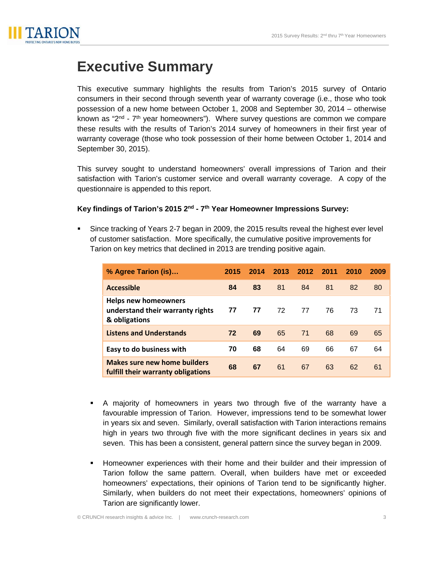

# **Executive Summary**

This executive summary highlights the results from Tarion's 2015 survey of Ontario consumers in their second through seventh year of warranty coverage (i.e., those who took possession of a new home between October 1, 2008 and September 30, 2014 – otherwise known as " $2<sup>nd</sup>$  - 7<sup>th</sup> year homeowners"). Where survey questions are common we compare these results with the results of Tarion's 2014 survey of homeowners in their first year of warranty coverage (those who took possession of their home between October 1, 2014 and September 30, 2015).

This survey sought to understand homeowners' overall impressions of Tarion and their satisfaction with Tarion's customer service and overall warranty coverage. A copy of the questionnaire is appended to this report.

#### **Key findings of Tarion's 2015 2nd - 7th Year Homeowner Impressions Survey:**

 Since tracking of Years 2-7 began in 2009, the 2015 results reveal the highest ever level of customer satisfaction. More specifically, the cumulative positive improvements for Tarion on key metrics that declined in 2013 are trending positive again.

| % Agree Tarion (is)                                                              | 2015 | 2014 | 2013 | 2012 | 2011 | 2010 | 2009 |
|----------------------------------------------------------------------------------|------|------|------|------|------|------|------|
| <b>Accessible</b>                                                                | 84   | 83   | 81   | 84   | 81   | 82   | 80   |
| <b>Helps new homeowners</b><br>understand their warranty rights<br>& obligations | 77   | 77   | 72   | 77   | 76   | 73   | 71   |
| <b>Listens and Understands</b>                                                   | 72   | 69   | 65   | 71   | 68   | 69   | 65   |
| Easy to do business with                                                         | 70   | 68   | 64   | 69   | 66   | 67   | 64   |
| <b>Makes sure new home builders</b><br>fulfill their warranty obligations        | 68   | 67   | 61   | 67   | 63   | 62   | 61   |

- A majority of homeowners in years two through five of the warranty have a favourable impression of Tarion. However, impressions tend to be somewhat lower in years six and seven. Similarly, overall satisfaction with Tarion interactions remains high in years two through five with the more significant declines in years six and seven. This has been a consistent, general pattern since the survey began in 2009.
- Homeowner experiences with their home and their builder and their impression of Tarion follow the same pattern. Overall, when builders have met or exceeded homeowners' expectations, their opinions of Tarion tend to be significantly higher. Similarly, when builders do not meet their expectations, homeowners' opinions of Tarion are significantly lower.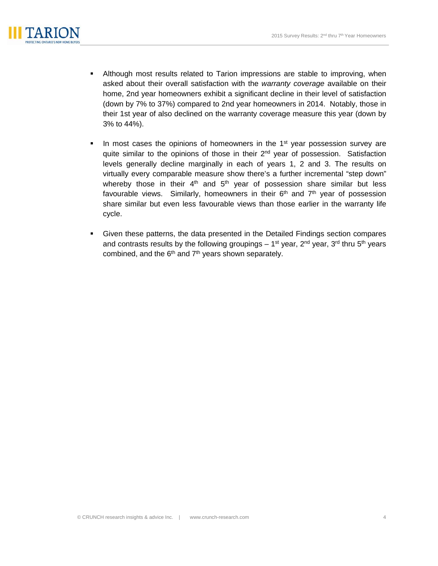

- Although most results related to Tarion impressions are stable to improving, when asked about their overall satisfaction with the *warranty coverage* available on their home, 2nd year homeowners exhibit a significant decline in their level of satisfaction (down by 7% to 37%) compared to 2nd year homeowners in 2014. Notably, those in their 1st year of also declined on the warranty coverage measure this year (down by 3% to 44%).
- In most cases the opinions of homeowners in the  $1<sup>st</sup>$  year possession survey are quite similar to the opinions of those in their 2<sup>nd</sup> year of possession. Satisfaction levels generally decline marginally in each of years 1, 2 and 3. The results on virtually every comparable measure show there's a further incremental "step down" whereby those in their  $4<sup>th</sup>$  and  $5<sup>th</sup>$  year of possession share similar but less favourable views. Similarly, homeowners in their  $6<sup>th</sup>$  and  $7<sup>th</sup>$  year of possession share similar but even less favourable views than those earlier in the warranty life cycle.
- Given these patterns, the data presented in the Detailed Findings section compares and contrasts results by the following groupings  $-1<sup>st</sup>$  year,  $2<sup>nd</sup>$  year,  $3<sup>rd</sup>$  thru  $5<sup>th</sup>$  years combined, and the  $6<sup>th</sup>$  and  $7<sup>th</sup>$  years shown separately.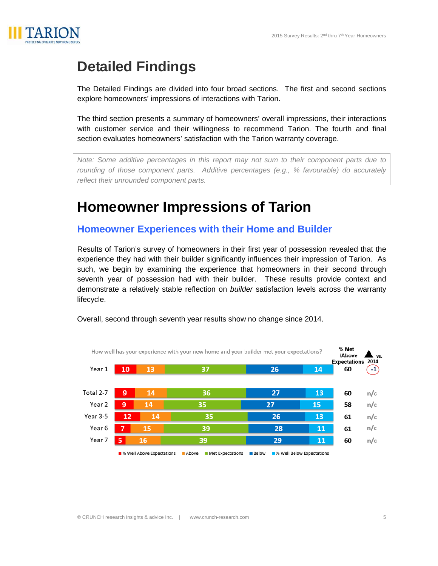

# **Detailed Findings**

The Detailed Findings are divided into four broad sections. The first and second sections explore homeowners' impressions of interactions with Tarion.

The third section presents a summary of homeowners' overall impressions, their interactions with customer service and their willingness to recommend Tarion. The fourth and final section evaluates homeowners' satisfaction with the Tarion warranty coverage.

*Note: Some additive percentages in this report may not sum to their component parts due to rounding of those component parts. Additive percentages (e.g., % favourable) do accurately reflect their unrounded component parts.*

# **Homeowner Impressions of Tarion**

### **Homeowner Experiences with their Home and Builder**

Results of Tarion's survey of homeowners in their first year of possession revealed that the experience they had with their builder significantly influences their impression of Tarion. As such, we begin by examining the experience that homeowners in their second through seventh year of possession had with their builder. These results provide context and demonstrate a relatively stable reflection on *builder* satisfaction levels across the warranty lifecycle.



Overall, second through seventh year results show no change since 2014.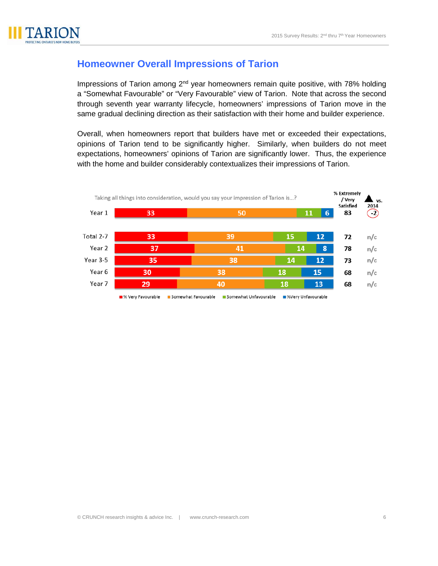

### **Homeowner Overall Impressions of Tarion**

Impressions of Tarion among  $2<sup>nd</sup>$  year homeowners remain quite positive, with 78% holding a "Somewhat Favourable" or "Very Favourable" view of Tarion. Note that across the second through seventh year warranty lifecycle, homeowners' impressions of Tarion move in the same gradual declining direction as their satisfaction with their home and builder experience.

Overall, when homeowners report that builders have met or exceeded their expectations, opinions of Tarion tend to be significantly higher. Similarly, when builders do not meet expectations, homeowners' opinions of Tarion are significantly lower. Thus, the experience with the home and builder considerably contextualizes their impressions of Tarion.

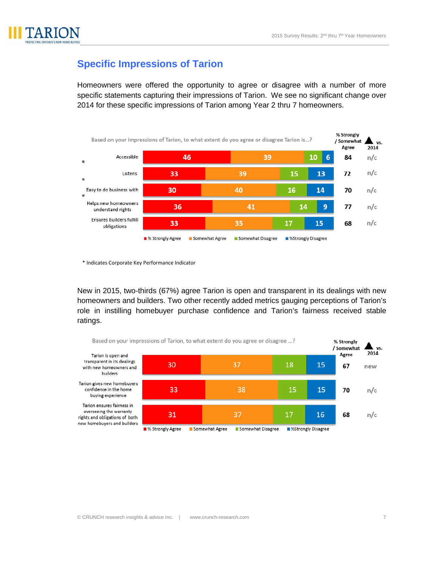

### **Specific Impressions of Tarion**

Homeowners were offered the opportunity to agree or disagree with a number of more specific statements capturing their impressions of Tarion. We see no significant change over 2014 for these specific impressions of Tarion among Year 2 thru 7 homeowners.



\* Indicates Corporate Key Performance Indicator

New in 2015, two-thirds (67%) agree Tarion is open and transparent in its dealings with new homeowners and builders. Two other recently added metrics gauging perceptions of Tarion's role in instilling homebuyer purchase confidence and Tarion's fairness received stable ratings.

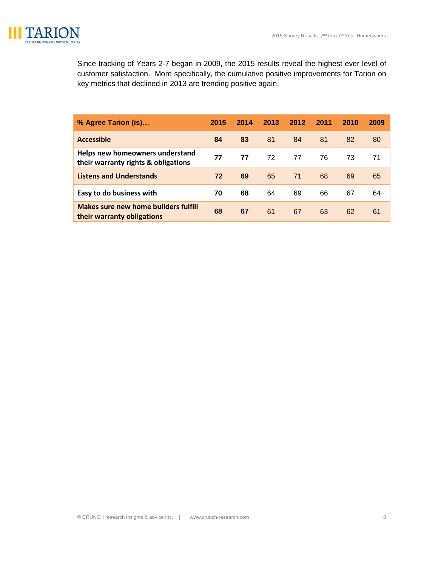

Since tracking of Years 2-7 began in 2009, the 2015 results reveal the highest ever level of customer satisfaction. More specifically, the cumulative positive improvements for Tarion on key metrics that declined in 2013 are trending positive again.

| % Agree Tarion (is)                                                    | 2015 | 2014 | 2013 | 2012 | 2011 | 2010 | 2009 |
|------------------------------------------------------------------------|------|------|------|------|------|------|------|
| <b>Accessible</b>                                                      | 84   | 83   | 81   | 84   | 81   | 82   | 80   |
| Helps new homeowners understand<br>their warranty rights & obligations | 77   | 77   | 72   | 77   | 76   | 73   | 71   |
| <b>Listens and Understands</b>                                         | 72   | 69   | 65   | 71   | 68   | 69   | 65   |
| Easy to do business with                                               | 70   | 68   | 64   | 69   | 66   | 67   | 64   |
| Makes sure new home builders fulfill<br>their warranty obligations     | 68   | 67   | 61   | 67   | 63   | 62   | 61   |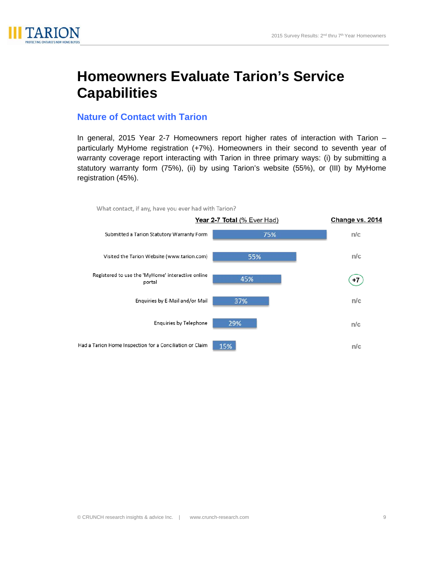

# **Homeowners Evaluate Tarion's Service Capabilities**

#### **Nature of Contact with Tarion**

In general, 2015 Year 2-7 Homeowners report higher rates of interaction with Tarion – particularly MyHome registration (+7%). Homeowners in their second to seventh year of warranty coverage report interacting with Tarion in three primary ways: (i) by submitting a statutory warranty form (75%), (ii) by using Tarion's website (55%), or (III) by MyHome registration (45%).

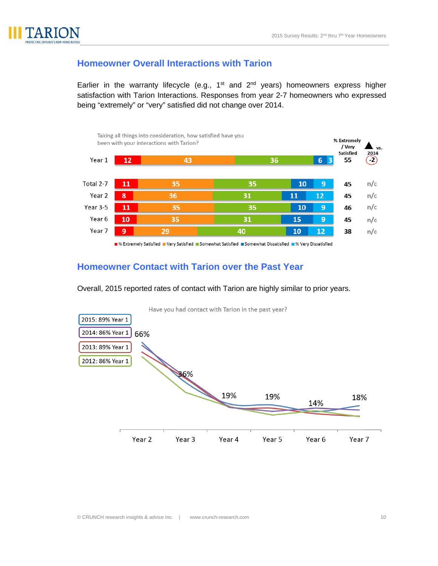

#### **Homeowner Overall Interactions with Tarion**

Earlier in the warranty lifecycle (e.g.,  $1^{st}$  and  $2^{nd}$  years) homeowners express higher satisfaction with Tarion Interactions. Responses from year 2-7 homeowners who expressed being "extremely" or "very" satisfied did not change over 2014.



■% Extremely Satisfied ■ Very Satisfied ■ Somewhat Satisfied ■ Somewhat Dissatisfied ■% Very Dissatisfied

### **Homeowner Contact with Tarion over the Past Year**

Overall, 2015 reported rates of contact with Tarion are highly similar to prior years.

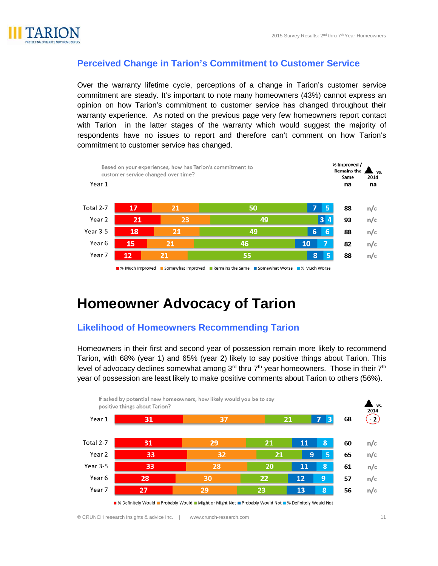

### **Perceived Change in Tarion's Commitment to Customer Service**

Over the warranty lifetime cycle, perceptions of a change in Tarion's customer service commitment are steady. It's important to note many homeowners (43%) cannot express an opinion on how Tarion's commitment to customer service has changed throughout their warranty experience. As noted on the previous page very few homeowners report contact with Tarion in the latter stages of the warranty which would suggest the majority of respondents have no issues to report and therefore can't comment on how Tarion's commitment to customer service has changed.



# **Homeowner Advocacy of Tarion**

### **Likelihood of Homeowners Recommending Tarion**

Homeowners in their first and second year of possession remain more likely to recommend Tarion, with 68% (year 1) and 65% (year 2) likely to say positive things about Tarion. This level of advocacy declines somewhat among 3<sup>rd</sup> thru 7<sup>th</sup> year homeowners. Those in their 7<sup>th</sup> year of possession are least likely to make positive comments about Tarion to others (56%).



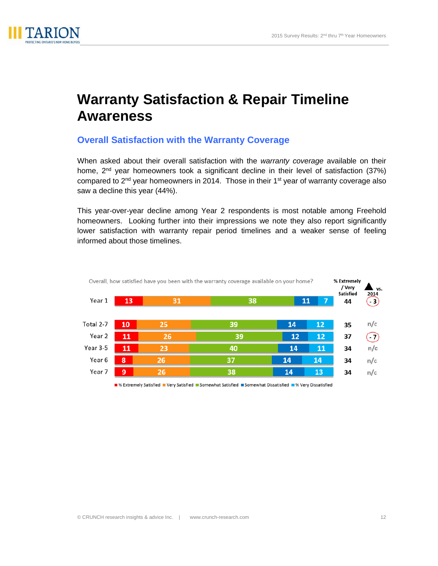

# **Warranty Satisfaction & Repair Timeline Awareness**

#### **Overall Satisfaction with the Warranty Coverage**

When asked about their overall satisfaction with the *warranty coverage* available on their home, 2<sup>nd</sup> year homeowners took a significant decline in their level of satisfaction (37%) compared to  $2<sup>nd</sup>$  year homeowners in 2014. Those in their 1<sup>st</sup> year of warranty coverage also saw a decline this year (44%).

This year-over-year decline among Year 2 respondents is most notable among Freehold homeowners. Looking further into their impressions we note they also report significantly lower satisfaction with warranty repair period timelines and a weaker sense of feeling informed about those timelines.



■% Extremely Satisfied ■ Very Satisfied ■ Somewhat Satisfied ■ Somewhat Dissatisfied ■% Very Dissatisfied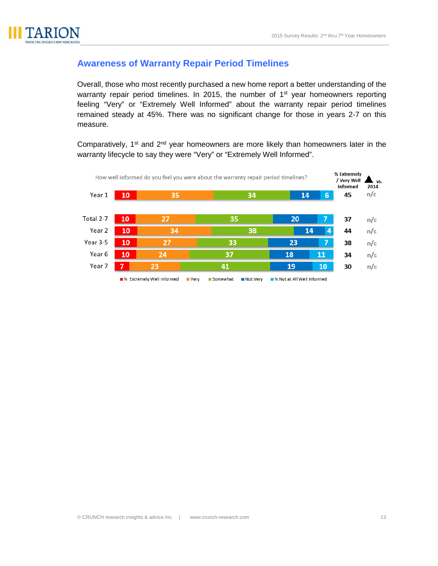

#### **Awareness of Warranty Repair Period Timelines**

Overall, those who most recently purchased a new home report a better understanding of the warranty repair period timelines. In 2015, the number of 1<sup>st</sup> year homeowners reporting feeling "Very" or "Extremely Well Informed" about the warranty repair period timelines remained steady at 45%. There was no significant change for those in years 2-7 on this measure.

Comparatively,  $1^{st}$  and  $2^{nd}$  year homeowners are more likely than homeowners later in the warranty lifecycle to say they were "Very" or "Extremely Well Informed".

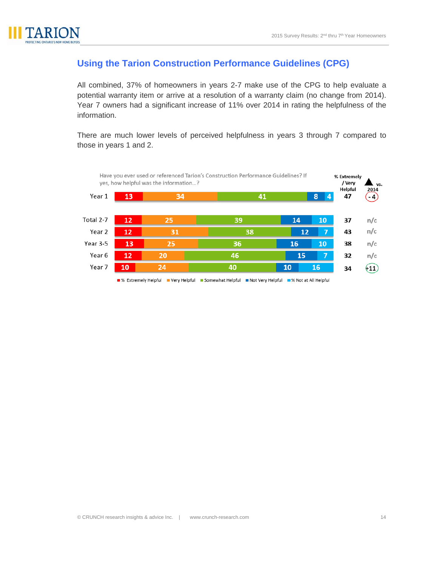

### **Using the Tarion Construction Performance Guidelines (CPG)**

All combined, 37% of homeowners in years 2-7 make use of the CPG to help evaluate a potential warranty item or arrive at a resolution of a warranty claim (no change from 2014). Year 7 owners had a significant increase of 11% over 2014 in rating the helpfulness of the information.

There are much lower levels of perceived helpfulness in years 3 through 7 compared to those in years 1 and 2.